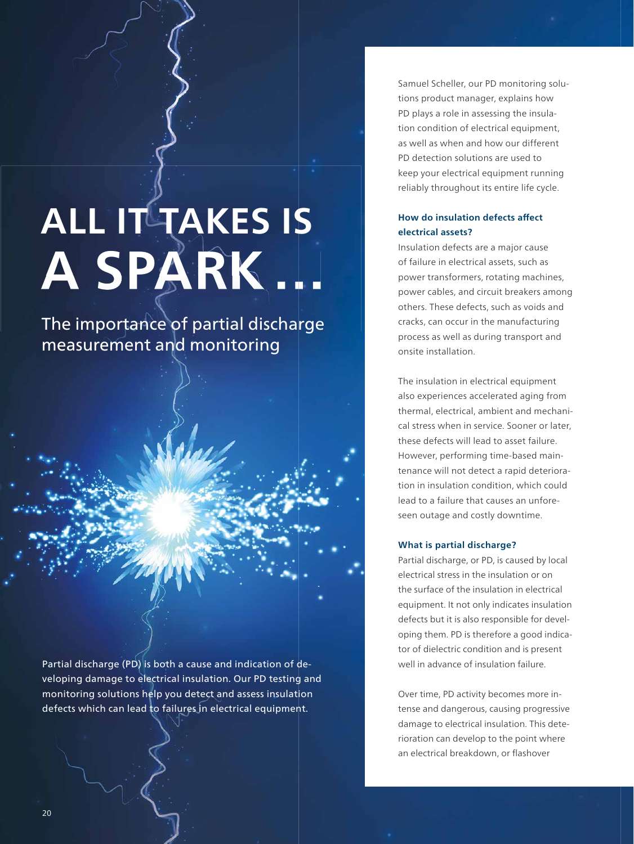# **ALL IT TAKES IS A SPARK …**

The importance of partial discharge measurement and monitoring

Partial discharge (PD) is both a cause and indication of developing damage to electrical insulation. Our PD testing and monitoring solutions help you detect and assess insulation defects which can lead to failures in electrical equipment.

Samuel Scheller, our PD monitoring solutions product manager, explains how PD plays a role in assessing the insulation condition of electrical equipment, as well as when and how our different PD detection solutions are used to keep your electrical equipment running reliably throughout its entire life cycle.

## **How do insulation defects affect electrical assets?**

Insulation defects are a major cause of failure in electrical assets, such as power transformers, rotating machines, power cables, and circuit breakers among others. These defects, such as voids and cracks, can occur in the manufacturing process as well as during transport and onsite installation.

The insulation in electrical equipment also experiences accelerated aging from thermal, electrical, ambient and mechanical stress when in service. Sooner or later, these defects will lead to asset failure. However, performing time-based maintenance will not detect a rapid deterioration in insulation condition, which could lead to a failure that causes an unforeseen outage and costly downtime.

#### **What is partial discharge?**

Partial discharge, or PD, is caused by local electrical stress in the insulation or on the surface of the insulation in electrical equipment. It not only indicates insulation defects but it is also responsible for developing them. PD is therefore a good indicator of dielectric condition and is present well in advance of insulation failure.

Over time, PD activity becomes more intense and dangerous, causing progressive damage to electrical insulation. This deterioration can develop to the point where an electrical breakdown, or flashover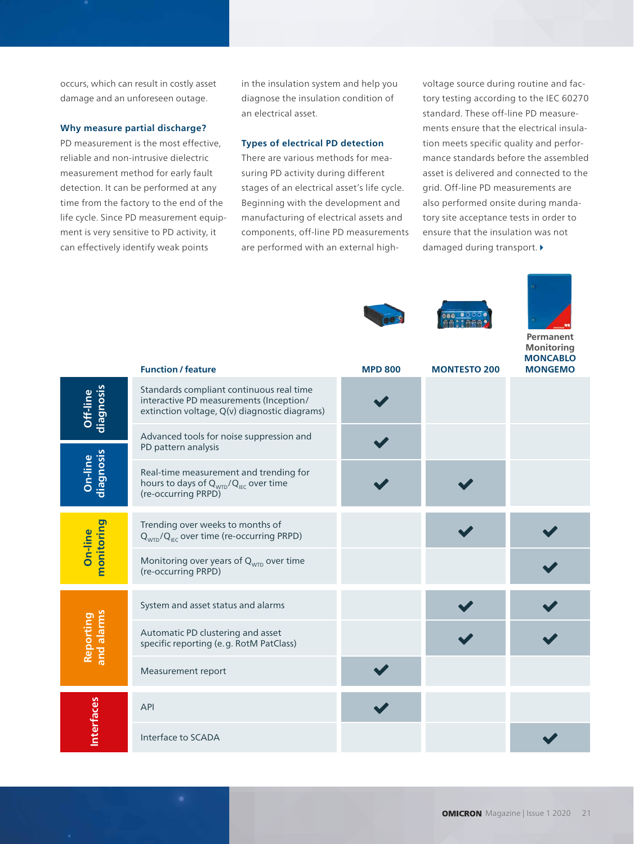occurs, which can result in costly asset damage and an unforeseen outage.

#### **Why measure partial discharge?**

PD measurement is the most effective, reliable and non-intrusive dielectric measurement method for early fault detection. It can be performed at any time from the factory to the end of the life cycle. Since PD measurement equipment is very sensitive to PD activity, it can effectively identify weak points

in the insulation system and help you diagnose the insulation condition of an electrical asset.

#### **Types of electrical PD detection**

There are various methods for measuring PD activity during different stages of an electrical asset's life cycle. Beginning with the development and manufacturing of electrical assets and components, off-line PD measurements are performed with an external highvoltage source during routine and factory testing according to the IEC 60270 standard. These off-line PD measurements ensure that the electrical insulation meets specific quality and performance standards before the assembled asset is delivered and connected to the grid. Off-line PD measurements are also performed onsite during mandatory site acceptance tests in order to ensure that the insulation was not damaged during transport.





**Permanent Monitoring MONCABLO** 

|                         | <b>Function / feature</b>                                                                                                            | <b>MPD 800</b> | <b>MONTESTO 200</b> | <b>MONGEMO</b> |
|-------------------------|--------------------------------------------------------------------------------------------------------------------------------------|----------------|---------------------|----------------|
| diagnosis<br>Off-line   | Standards compliant continuous real time<br>interactive PD measurements (Inception/<br>extinction voltage, Q(v) diagnostic diagrams) |                |                     |                |
|                         | Advanced tools for noise suppression and<br>PD pattern analysis                                                                      |                |                     |                |
| diagnosis<br>On-line    | Real-time measurement and trending for<br>hours to days of Q <sub>WTD</sub> /Q <sub>IEC</sub> over time<br>(re-occurring PRPD)       |                |                     |                |
| monitoring<br>On-line   | Trending over weeks to months of<br>$Q_{WTD}/Q_{EC}$ over time (re-occurring PRPD)                                                   |                |                     |                |
|                         | Monitoring over years of $Q_{\text{wTD}}$ over time<br>(re-occurring PRPD)                                                           |                |                     |                |
| Reporting<br>and alarms | System and asset status and alarms                                                                                                   |                |                     |                |
|                         | Automatic PD clustering and asset<br>specific reporting (e.g. RotM PatClass)                                                         |                |                     |                |
|                         | Measurement report                                                                                                                   |                |                     |                |
| <b>Interfaces</b>       | <b>API</b>                                                                                                                           |                |                     |                |
|                         | Interface to SCADA                                                                                                                   |                |                     |                |